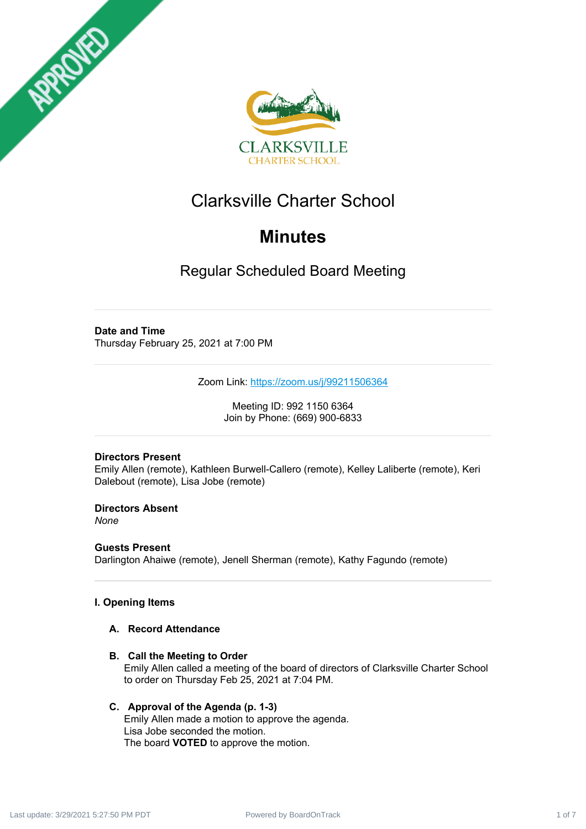



## Clarksville Charter School

## **Minutes**

Regular Scheduled Board Meeting

#### **Date and Time**

Thursday February 25, 2021 at 7:00 PM

Zoom Link: <https://zoom.us/j/99211506364>

Meeting ID: 992 1150 6364 Join by Phone: (669) 900-6833

#### **Directors Present**

Emily Allen (remote), Kathleen Burwell-Callero (remote), Kelley Laliberte (remote), Keri Dalebout (remote), Lisa Jobe (remote)

**Directors Absent** *None*

**Guests Present** Darlington Ahaiwe (remote), Jenell Sherman (remote), Kathy Fagundo (remote)

#### **I. Opening Items**

#### **A. Record Attendance**

**B. Call the Meeting to Order** Emily Allen called a meeting of the board of directors of Clarksville Charter School to order on Thursday Feb 25, 2021 at 7:04 PM.

#### **C. Approval of the Agenda (p. 1-3)**

Emily Allen made a motion to approve the agenda. Lisa Jobe seconded the motion. The board **VOTED** to approve the motion.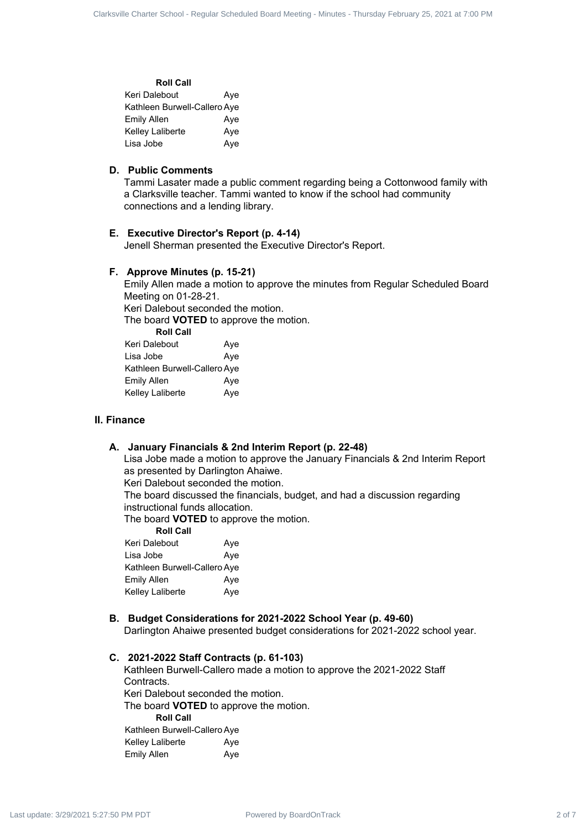#### **Roll Call** Keri Dalebout **Aye** Kathleen Burwell-Callero Aye Emily Allen Aye Kelley Laliberte **Aye** Lisa Jobe Aye

#### **D. Public Comments**

Tammi Lasater made a public comment regarding being a Cottonwood family with a Clarksville teacher. Tammi wanted to know if the school had community connections and a lending library.

#### **E. Executive Director's Report (p. 4-14)**

Jenell Sherman presented the Executive Director's Report.

#### **F. Approve Minutes (p. 15-21)**

Emily Allen made a motion to approve the minutes from Regular Scheduled Board Meeting on 01-28-21. Keri Dalebout seconded the motion. The board **VOTED** to approve the motion. **Roll Call** Keri Dalebout Aye Lisa Jobe Aye Kathleen Burwell-Callero Aye Emily Allen Aye Kelley Laliberte Aye Curiate Crack 2 of *Regular Levislands* 2 of *Regular Scheduled Board 2* of 7 Clarksville Charter School - American Charter Schedule Board Meeting - Minutes - The Figure - Minutes - The Figure - Minutes - The Figure - Min

#### **II. Finance**

#### **A. January Financials & 2nd Interim Report (p. 22-48)**

Lisa Jobe made a motion to approve the January Financials & 2nd Interim Report as presented by Darlington Ahaiwe.

Keri Dalebout seconded the motion.

The board discussed the financials, budget, and had a discussion regarding instructional funds allocation.

The board **VOTED** to approve the motion.

| <b>Roll Call</b>             |     |
|------------------------------|-----|
| Keri Dalebout                | Aye |
| Lisa Jobe                    | Aye |
| Kathleen Burwell-Callero Aye |     |
| Emily Allen                  | Aye |
| Kelley Laliberte             | Ave |
|                              |     |

#### **B. Budget Considerations for 2021-2022 School Year (p. 49-60)**

Darlington Ahaiwe presented budget considerations for 2021-2022 school year.

**C. 2021-2022 Staff Contracts (p. 61-103)** Kathleen Burwell-Callero made a motion to approve the 2021-2022 Staff Contracts. Keri Dalebout seconded the motion. The board **VOTED** to approve the motion. **Roll Call** Kathleen Burwell-Callero Aye Kelley Laliberte **Aye** Emily Allen Aye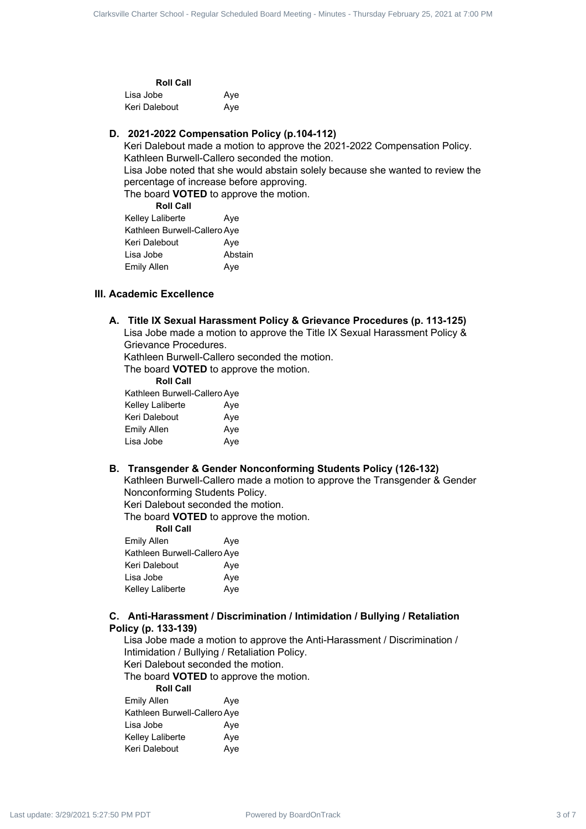| <b>Roll Call</b> |     |
|------------------|-----|
| Lisa Jobe        | Ave |
| Keri Dalebout    | Ave |

#### **D. 2021-2022 Compensation Policy (p.104-112)**

Keri Dalebout made a motion to approve the 2021-2022 Compensation Policy. Kathleen Burwell-Callero seconded the motion.

Lisa Jobe noted that she would abstain solely because she wanted to review the percentage of increase before approving.

The board **VOTED** to approve the motion. **Roll Call**

| ROIL CAIL                    |         |
|------------------------------|---------|
| Kelley Laliberte             | Aye     |
| Kathleen Burwell-Callero Aye |         |
| Keri Dalebout                | Aye     |
| Lisa Jobe                    | Abstain |
| Emily Allen                  | Aye     |

#### **III. Academic Excellence**

#### **A. Title IX Sexual Harassment Policy & Grievance Procedures (p. 113-125)**

Lisa Jobe made a motion to approve the Title IX Sexual Harassment Policy & Grievance Procedures.

Kathleen Burwell-Callero seconded the motion.

The board **VOTED** to approve the motion.

| <b>Roll Call</b>             |     |
|------------------------------|-----|
| Kathleen Burwell-Callero Aye |     |
| Kelley Laliberte             | Aye |
| Keri Dalebout                | Aye |
| Emily Allen                  | Aye |
| Lisa Jobe                    | Aye |

#### **B. Transgender & Gender Nonconforming Students Policy (126-132)**

Kathleen Burwell-Callero made a motion to approve the Transgender & Gender Nonconforming Students Policy. Clarksville Charter 3 of 7 Clarksville Charter 3 of 7 Clarksville Charter 3 of 7 Clarksville Charter 3 of 7 Clarksville Charter 3 of 7 Clarksville Charter 3 of 7 Clarksville Charter 3 of 7 Clarksville Charter School at 7:

Keri Dalebout seconded the motion.

The board **VOTED** to approve the motion.

| <b>Roll Call</b>             |     |
|------------------------------|-----|
| <b>Emily Allen</b>           | Aye |
| Kathleen Burwell-Callero Aye |     |
| Keri Dalebout                | Ave |
| Lisa Jobe                    | Aye |
| Kelley Laliberte             | Aye |

### **C. Anti-Harassment / Discrimination / Intimidation / Bullying / Retaliation**

**Policy (p. 133-139)**

Lisa Jobe made a motion to approve the Anti-Harassment / Discrimination / Intimidation / Bullying / Retaliation Policy.

Keri Dalebout seconded the motion.

The board **VOTED** to approve the motion.

| <b>Roll Call</b>             |     |
|------------------------------|-----|
| <b>Emily Allen</b>           | Aye |
| Kathleen Burwell-Callero Aye |     |
| Lisa Jobe                    | Aye |
| Kelley Laliberte             | Aye |
| Keri Dalebout                | Aye |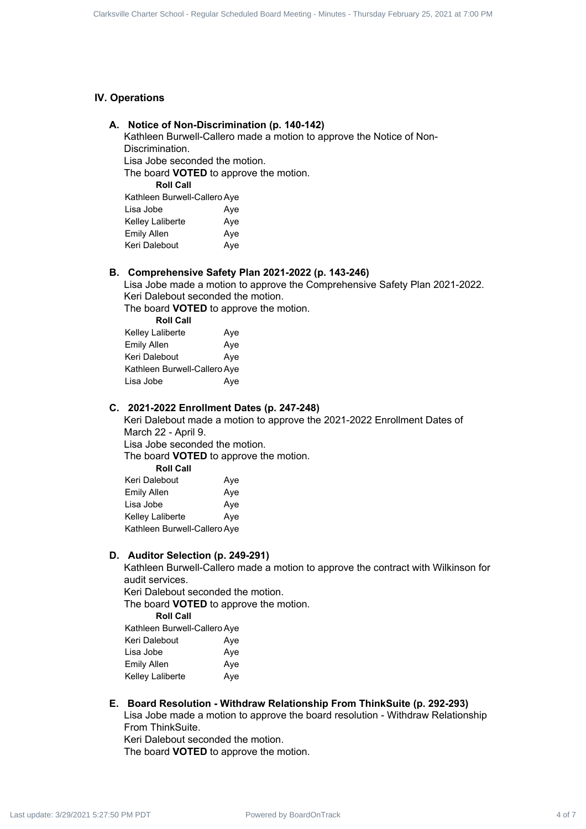#### **IV. Operations**

#### **A. Notice of Non-Discrimination (p. 140-142)**

| Kathleen Burwell-Callero Aye |     |  |
|------------------------------|-----|--|
| Lisa Jobe                    | Aye |  |
| Kelley Laliberte             | Aye |  |
| Emily Allen                  | Aye |  |
| Keri Dalebout                | Aye |  |
|                              |     |  |

#### **B. Comprehensive Safety Plan 2021-2022 (p. 143-246)**

| Kelley Laliberte             | Aye |
|------------------------------|-----|
| <b>Emily Allen</b>           | Aye |
| Keri Dalebout                | Aye |
| Kathleen Burwell-Callero Aye |     |
| Lisa Jobe                    | Aye |
|                              |     |

#### **C. 2021-2022 Enrollment Dates (p. 247-248)**

| <b>IV. Operations</b>                                                                                                                                       |  |
|-------------------------------------------------------------------------------------------------------------------------------------------------------------|--|
| A. Notice of Non-Discrimination (p. 140-142)                                                                                                                |  |
| Kathleen Burwell-Callero made a motion to approve the Notice of Non-<br>Discrimination.                                                                     |  |
| Lisa Jobe seconded the motion.                                                                                                                              |  |
| The board VOTED to approve the motion.                                                                                                                      |  |
| <b>Roll Call</b>                                                                                                                                            |  |
| Kathleen Burwell-Callero Aye<br>Lisa Jobe<br>Aye                                                                                                            |  |
| Kelley Laliberte<br>Aye                                                                                                                                     |  |
| <b>Emily Allen</b><br>Aye                                                                                                                                   |  |
| Keri Dalebout<br>Aye                                                                                                                                        |  |
| B. Comprehensive Safety Plan 2021-2022 (p. 143-246)                                                                                                         |  |
| Lisa Jobe made a motion to approve the Comprehensive Safety Plan 2021-2022.                                                                                 |  |
| Keri Dalebout seconded the motion.                                                                                                                          |  |
| The board <b>VOTED</b> to approve the motion.<br><b>Roll Call</b>                                                                                           |  |
| Kelley Laliberte<br>Aye                                                                                                                                     |  |
| <b>Emily Allen</b><br>Aye                                                                                                                                   |  |
| Keri Dalebout<br>Aye<br>Kathleen Burwell-Callero Aye                                                                                                        |  |
| Lisa Jobe<br>Aye                                                                                                                                            |  |
|                                                                                                                                                             |  |
| C. 2021-2022 Enrollment Dates (p. 247-248)<br>Keri Dalebout made a motion to approve the 2021-2022 Enrollment Dates of                                      |  |
| March 22 - April 9.                                                                                                                                         |  |
| Lisa Jobe seconded the motion.                                                                                                                              |  |
| The board <b>VOTED</b> to approve the motion.                                                                                                               |  |
| <b>Roll Call</b><br>Keri Dalebout<br>Aye                                                                                                                    |  |
| <b>Emily Allen</b><br>Aye                                                                                                                                   |  |
| Lisa Jobe<br>Aye                                                                                                                                            |  |
| Kelley Laliberte<br>Aye                                                                                                                                     |  |
| Kathleen Burwell-Callero Aye                                                                                                                                |  |
| D. Auditor Selection (p. 249-291)                                                                                                                           |  |
| Kathleen Burwell-Callero made a motion to approve the contract with Wilkinson for                                                                           |  |
| audit services.<br>Keri Dalebout seconded the motion.                                                                                                       |  |
| The board <b>VOTED</b> to approve the motion.                                                                                                               |  |
| <b>Roll Call</b>                                                                                                                                            |  |
| Kathleen Burwell-Callero Aye                                                                                                                                |  |
| Keri Dalebout<br>Aye                                                                                                                                        |  |
| Lisa Jobe<br>Aye<br><b>Emily Allen</b><br>Aye                                                                                                               |  |
| Kelley Laliberte<br>Aye                                                                                                                                     |  |
|                                                                                                                                                             |  |
| E. Board Resolution - Withdraw Relationship From ThinkSuite (p. 292-293)<br>Lisa Jobe made a motion to approve the board resolution - Withdraw Relationship |  |
| From ThinkSuite.                                                                                                                                            |  |
| Keri Dalebout seconded the motion.                                                                                                                          |  |
| The board <b>VOTED</b> to approve the motion.                                                                                                               |  |

#### **D. Auditor Selection (p. 249-291)**

#### **E. Board Resolution - Withdraw Relationship From ThinkSuite (p. 292-293)**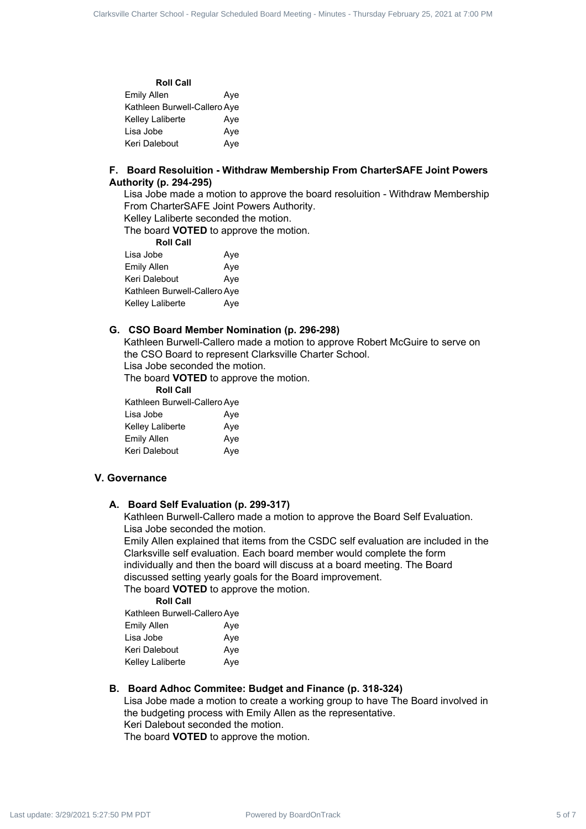| <b>Roll Call</b>             |     |
|------------------------------|-----|
| Emily Allen                  | Aye |
| Kathleen Burwell-Callero Aye |     |
| Kelley Laliberte             | Ave |
| Lisa Jobe                    | Aye |
| Keri Dalebout                | Aye |

#### **F. Board Resoluition - Withdraw Membership From CharterSAFE Joint Powers Authority (p. 294-295)**

Lisa Jobe made a motion to approve the board resoluition - Withdraw Membership From CharterSAFE Joint Powers Authority.

Kelley Laliberte seconded the motion.

The board **VOTED** to approve the motion.

**Roll Call**

| Lisa Jobe                    | Aye |
|------------------------------|-----|
| <b>Emily Allen</b>           | Aye |
| Keri Dalebout                | Aye |
| Kathleen Burwell-Callero Aye |     |
| Kelley Laliberte             | Aye |

#### **G. CSO Board Member Nomination (p. 296-298)**

Kathleen Burwell-Callero made a motion to approve Robert McGuire to serve on the CSO Board to represent Clarksville Charter School.

Lisa Jobe seconded the motion.

The board **VOTED** to approve the motion.

**Roll Call**

| Kathleen Burwell-Callero Aye |     |
|------------------------------|-----|
| Lisa Jobe                    | Aye |
| Kelley Laliberte             | Aye |
| <b>Emily Allen</b>           | Aye |
| Keri Dalebout                | Aye |

#### **V. Governance**

#### **A. Board Self Evaluation (p. 299-317)**

Kathleen Burwell-Callero made a motion to approve the Board Self Evaluation. Lisa Jobe seconded the motion.

Emily Allen explained that items from the CSDC self evaluation are included in the Clarksville self evaluation. Each board member would complete the form individually and then the board will discuss at a board meeting. The Board discussed setting yearly goals for the Board improvement. Clarksville Charter 5 of Figure 2 of Figure 2012 at  $\frac{km}{2}$ <br> **Power Charter Schedule Charter School - American Schedule For Charter Schedule Charter Schedule Charter Schedule Charter Schedule Charter Schedule Charter Sc** 

The board **VOTED** to approve the motion.

**Roll Call** Kathleen Burwell-Callero Aye

| Nathleen Duiwell-Callero Aye |     |
|------------------------------|-----|
| <b>Emily Allen</b>           | Ave |

| Aye |
|-----|
| Aye |
| Aye |
|     |

#### **B. Board Adhoc Commitee: Budget and Finance (p. 318-324)**

Lisa Jobe made a motion to create a working group to have The Board involved in the budgeting process with Emily Allen as the representative. Keri Dalebout seconded the motion. The board **VOTED** to approve the motion.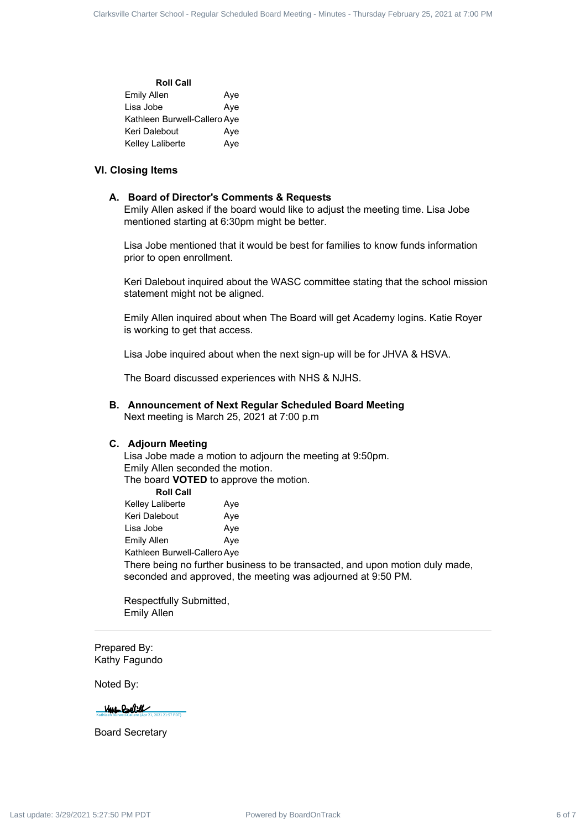| <b>Roll Call</b>             |     |
|------------------------------|-----|
| <b>Emily Allen</b>           | Aye |
| Lisa Jobe                    | Aye |
| Kathleen Burwell-Callero Aye |     |
| Keri Dalebout                | Aye |
| Kelley Laliberte             | Aye |

#### **VI. Closing Items**

#### **A. Board of Director's Comments & Requests**

Emily Allen asked if the board would like to adjust the meeting time. Lisa Jobe mentioned starting at 6:30pm might be better.

Lisa Jobe mentioned that it would be best for families to know funds information prior to open enrollment.

Keri Dalebout inquired about the WASC committee stating that the school mission statement might not be aligned.

Emily Allen inquired about when The Board will get Academy logins. Katie Royer is working to get that access.

Lisa Jobe inquired about when the next sign-up will be for JHVA & HSVA.

The Board discussed experiences with NHS & NJHS.

**B. Announcement of Next Regular Scheduled Board Meeting** Next meeting is March 25, 2021 at 7:00 p.m

#### **C. Adjourn Meeting**

Lisa Jobe made a motion to adjourn the meeting at 9:50pm. Emily Allen seconded the motion. The board **VOTED** to approve the motion. **Roll Call**

Kelley Laliberte Aye Keri Dalebout Aye Lisa Jobe **Aye** Emily Allen Aye Kathleen Burwell-Callero Aye There being no further business to be transacted, and upon motion duly made, seconded and approved, the meeting was adjourned at 9:50 PM. Curiative Charter Frack 6 of  $R_{\text{P}}$  **American** Charter School - American Charter Scheduled Board - Minutes - Minutes - Minutes - Minutes - Minutes - Minutes - Minutes - Minutes - Minutes - Minutes - Minutes - Minutes -

Respectfully Submitted, Emily Allen

Prepared By: Kathy Fagundo

Noted By:

[Kathleen Burwell-Callero \(Apr 21, 2021 21:57 PDT\)](https://na1.documents.adobe.com/verifier?tx=CBJCHBCAABAAi-_PRfLVF89iEIt1jJ6FJZIN0n9jgTiz)

Board Secretary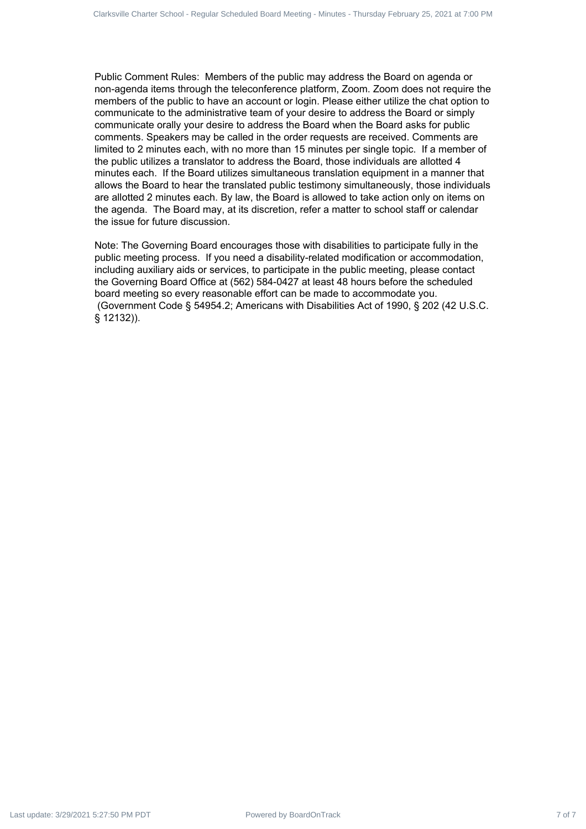Public Comment Rules: Members of the public may address the Board on agenda or non-agenda items through the teleconference platform, Zoom. Zoom does not require the members of the public to have an account or login. Please either utilize the chat option to communicate to the administrative team of your desire to address the Board or simply communicate orally your desire to address the Board when the Board asks for public comments. Speakers may be called in the order requests are received. Comments are limited to 2 minutes each, with no more than 15 minutes per single topic. If a member of the public utilizes a translator to address the Board, those individuals are allotted 4 minutes each. If the Board utilizes simultaneous translation equipment in a manner that allows the Board to hear the translated public testimony simultaneously, those individuals are allotted 2 minutes each. By law, the Board is allowed to take action only on items on the agenda. The Board may, at its discretion, refer a matter to school staff or calendar the issue for future discussion. Cutation Contract 7 of 7 of 7 of 7 of 7 Clarksville Charter School - Regular Schedule Charter School - Regular Schedule Charter Schedule Charter Schedule Charter Schedule Charter Schedule Charter Schedule Charter Schedule

Note: The Governing Board encourages those with disabilities to participate fully in the public meeting process. If you need a disability-related modification or accommodation, including auxiliary aids or services, to participate in the public meeting, please contact the Governing Board Office at (562) 584-0427 at least 48 hours before the scheduled board meeting so every reasonable effort can be made to accommodate you. (Government Code § 54954.2; Americans with Disabilities Act of 1990, § 202 (42 U.S.C. § 12132)).